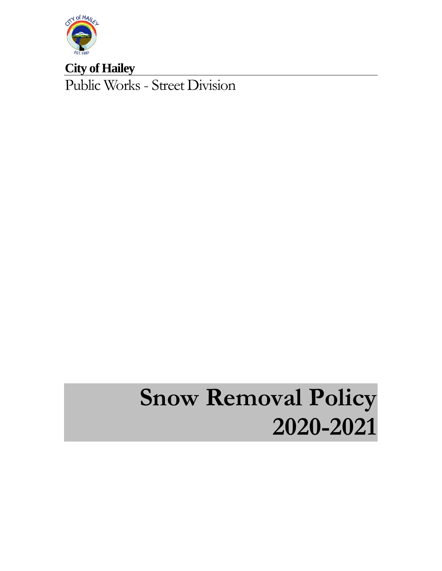

**City of Hailey**  Public Works - Street Division

# **Snow Removal Policy 2020-2021**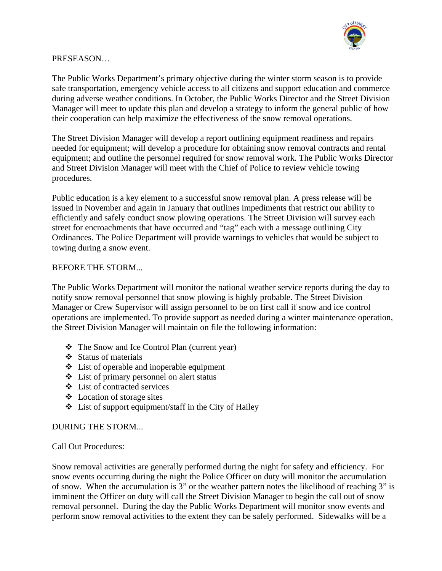

#### PRESEASON…

The Public Works Department's primary objective during the winter storm season is to provide safe transportation, emergency vehicle access to all citizens and support education and commerce during adverse weather conditions. In October, the Public Works Director and the Street Division Manager will meet to update this plan and develop a strategy to inform the general public of how their cooperation can help maximize the effectiveness of the snow removal operations.

The Street Division Manager will develop a report outlining equipment readiness and repairs needed for equipment; will develop a procedure for obtaining snow removal contracts and rental equipment; and outline the personnel required for snow removal work. The Public Works Director and Street Division Manager will meet with the Chief of Police to review vehicle towing procedures.

Public education is a key element to a successful snow removal plan. A press release will be issued in November and again in January that outlines impediments that restrict our ability to efficiently and safely conduct snow plowing operations. The Street Division will survey each street for encroachments that have occurred and "tag" each with a message outlining City Ordinances. The Police Department will provide warnings to vehicles that would be subject to towing during a snow event.

#### BEFORE THE STORM...

The Public Works Department will monitor the national weather service reports during the day to notify snow removal personnel that snow plowing is highly probable. The Street Division Manager or Crew Supervisor will assign personnel to be on first call if snow and ice control operations are implemented. To provide support as needed during a winter maintenance operation, the Street Division Manager will maintain on file the following information:

- \* The Snow and Ice Control Plan (current year)
- Status of materials
- List of operable and inoperable equipment
- List of primary personnel on alert status
- List of contracted services
- Location of storage sites
- List of support equipment/staff in the City of Hailey

#### DURING THE STORM...

#### Call Out Procedures:

Snow removal activities are generally performed during the night for safety and efficiency. For snow events occurring during the night the Police Officer on duty will monitor the accumulation of snow. When the accumulation is 3" or the weather pattern notes the likelihood of reaching 3" is imminent the Officer on duty will call the Street Division Manager to begin the call out of snow removal personnel. During the day the Public Works Department will monitor snow events and perform snow removal activities to the extent they can be safely performed. Sidewalks will be a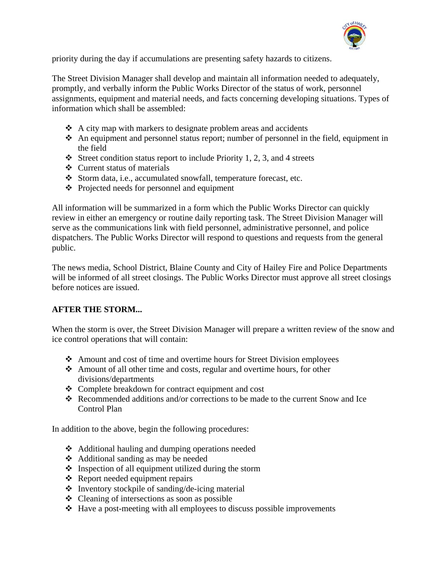

priority during the day if accumulations are presenting safety hazards to citizens.

The Street Division Manager shall develop and maintain all information needed to adequately, promptly, and verbally inform the Public Works Director of the status of work, personnel assignments, equipment and material needs, and facts concerning developing situations. Types of information which shall be assembled:

- $\triangle$  A city map with markers to designate problem areas and accidents
- $\triangle$  An equipment and personnel status report; number of personnel in the field, equipment in the field
- $\triangleleft$  Street condition status report to include Priority 1, 2, 3, and 4 streets
- Current status of materials
- Storm data, i.e., accumulated snowfall, temperature forecast, etc.
- Projected needs for personnel and equipment

All information will be summarized in a form which the Public Works Director can quickly review in either an emergency or routine daily reporting task. The Street Division Manager will serve as the communications link with field personnel, administrative personnel, and police dispatchers. The Public Works Director will respond to questions and requests from the general public.

The news media, School District, Blaine County and City of Hailey Fire and Police Departments will be informed of all street closings. The Public Works Director must approve all street closings before notices are issued.

#### **AFTER THE STORM...**

When the storm is over, the Street Division Manager will prepare a written review of the snow and ice control operations that will contain:

- Amount and cost of time and overtime hours for Street Division employees
- $\triangle$  Amount of all other time and costs, regular and overtime hours, for other divisions/departments
- Complete breakdown for contract equipment and cost
- Recommended additions and/or corrections to be made to the current Snow and Ice Control Plan

In addition to the above, begin the following procedures:

- Additional hauling and dumping operations needed
- Additional sanding as may be needed
- $\triangle$  Inspection of all equipment utilized during the storm
- Report needed equipment repairs
- $\triangle$  Inventory stockpile of sanding/de-icing material
- Cleaning of intersections as soon as possible
- $\triangleleft$  Have a post-meeting with all employees to discuss possible improvements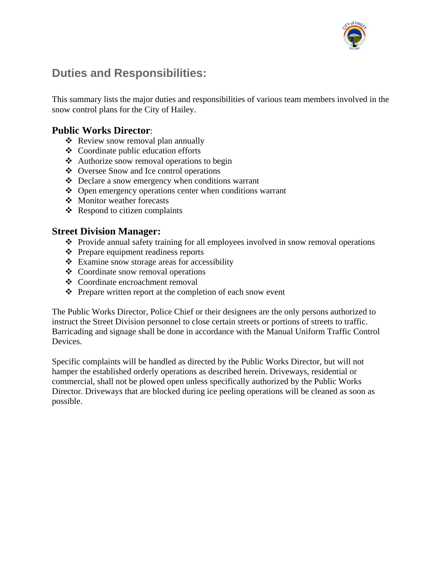

## **Duties and Responsibilities:**

This summary lists the major duties and responsibilities of various team members involved in the snow control plans for the City of Hailey.

## **Public Works Director**:

- ❖ Review snow removal plan annually
- $\triangleleft$  Coordinate public education efforts
- Authorize snow removal operations to begin
- Oversee Snow and Ice control operations
- Declare a snow emergency when conditions warrant
- $\triangle$  Open emergency operations center when conditions warrant
- Monitor weather forecasts
- $\triangleleft$  Respond to citizen complaints

### **Street Division Manager:**

- Provide annual safety training for all employees involved in snow removal operations
- Prepare equipment readiness reports
- $\triangle$  Examine snow storage areas for accessibility
- Coordinate snow removal operations
- Coordinate encroachment removal
- $\triangle$  Prepare written report at the completion of each snow event

The Public Works Director, Police Chief or their designees are the only persons authorized to instruct the Street Division personnel to close certain streets or portions of streets to traffic. Barricading and signage shall be done in accordance with the Manual Uniform Traffic Control Devices.

Specific complaints will be handled as directed by the Public Works Director, but will not hamper the established orderly operations as described herein. Driveways, residential or commercial, shall not be plowed open unless specifically authorized by the Public Works Director. Driveways that are blocked during ice peeling operations will be cleaned as soon as possible.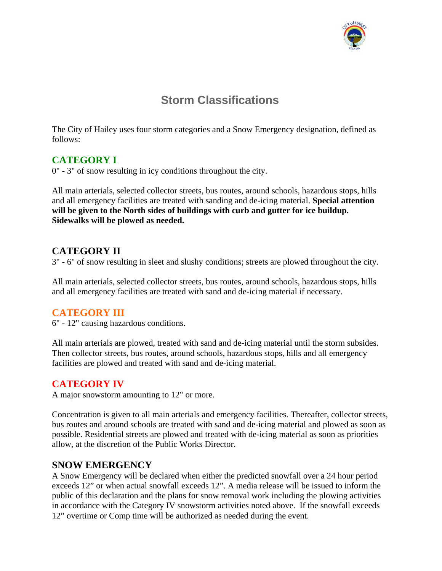

# **Storm Classifications**

The City of Hailey uses four storm categories and a Snow Emergency designation, defined as follows:

## **CATEGORY I**

0" - 3" of snow resulting in icy conditions throughout the city.

All main arterials, selected collector streets, bus routes, around schools, hazardous stops, hills and all emergency facilities are treated with sanding and de-icing material. **Special attention will be given to the North sides of buildings with curb and gutter for ice buildup. Sidewalks will be plowed as needed.** 

## **CATEGORY II**

3" - 6" of snow resulting in sleet and slushy conditions; streets are plowed throughout the city.

All main arterials, selected collector streets, bus routes, around schools, hazardous stops, hills and all emergency facilities are treated with sand and de-icing material if necessary.

## **CATEGORY III**

6" - 12" causing hazardous conditions.

All main arterials are plowed, treated with sand and de-icing material until the storm subsides. Then collector streets, bus routes, around schools, hazardous stops, hills and all emergency facilities are plowed and treated with sand and de-icing material.

## **CATEGORY IV**

A major snowstorm amounting to 12" or more.

Concentration is given to all main arterials and emergency facilities. Thereafter, collector streets, bus routes and around schools are treated with sand and de-icing material and plowed as soon as possible. Residential streets are plowed and treated with de-icing material as soon as priorities allow, at the discretion of the Public Works Director.

## **SNOW EMERGENCY**

A Snow Emergency will be declared when either the predicted snowfall over a 24 hour period exceeds 12" or when actual snowfall exceeds 12". A media release will be issued to inform the public of this declaration and the plans for snow removal work including the plowing activities in accordance with the Category IV snowstorm activities noted above. If the snowfall exceeds 12" overtime or Comp time will be authorized as needed during the event.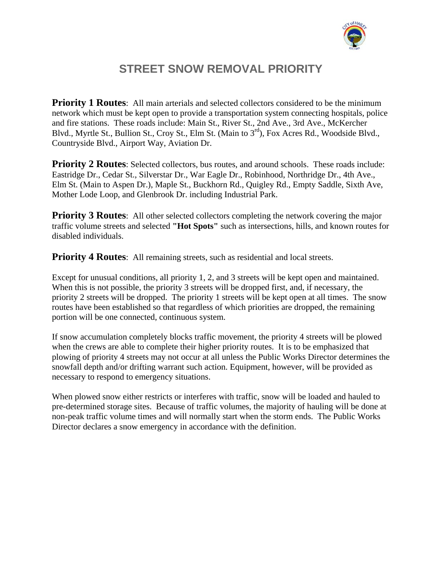

# **STREET SNOW REMOVAL PRIORITY**

**Priority 1 Routes:** All main arterials and selected collectors considered to be the minimum network which must be kept open to provide a transportation system connecting hospitals, police and fire stations. These roads include: Main St., River St., 2nd Ave., 3rd Ave., McKercher Blvd., Myrtle St., Bullion St., Croy St., Elm St. (Main to 3rd), Fox Acres Rd., Woodside Blvd., Countryside Blvd., Airport Way, Aviation Dr.

**Priority 2 Routes:** Selected collectors, bus routes, and around schools. These roads include: Eastridge Dr., Cedar St., Silverstar Dr., War Eagle Dr., Robinhood, Northridge Dr., 4th Ave., Elm St. (Main to Aspen Dr.), Maple St., Buckhorn Rd., Quigley Rd., Empty Saddle, Sixth Ave, Mother Lode Loop, and Glenbrook Dr. including Industrial Park.

**Priority 3 Routes**: All other selected collectors completing the network covering the major traffic volume streets and selected **"Hot Spots"** such as intersections, hills, and known routes for disabled individuals.

**Priority 4 Routes:** All remaining streets, such as residential and local streets.

Except for unusual conditions, all priority 1, 2, and 3 streets will be kept open and maintained. When this is not possible, the priority 3 streets will be dropped first, and, if necessary, the priority 2 streets will be dropped. The priority 1 streets will be kept open at all times. The snow routes have been established so that regardless of which priorities are dropped, the remaining portion will be one connected, continuous system.

If snow accumulation completely blocks traffic movement, the priority 4 streets will be plowed when the crews are able to complete their higher priority routes. It is to be emphasized that plowing of priority 4 streets may not occur at all unless the Public Works Director determines the snowfall depth and/or drifting warrant such action. Equipment, however, will be provided as necessary to respond to emergency situations.

When plowed snow either restricts or interferes with traffic, snow will be loaded and hauled to pre-determined storage sites. Because of traffic volumes, the majority of hauling will be done at non-peak traffic volume times and will normally start when the storm ends. The Public Works Director declares a snow emergency in accordance with the definition.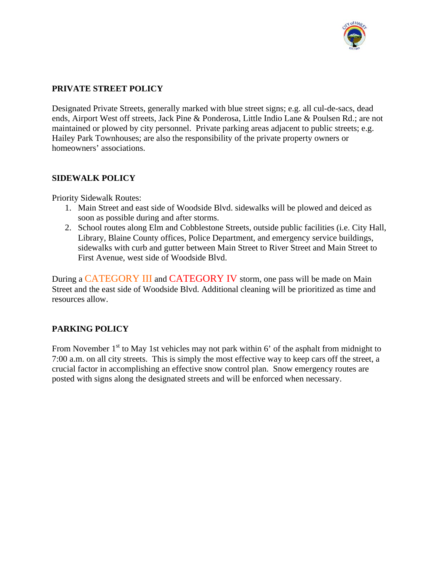

#### **PRIVATE STREET POLICY**

Designated Private Streets, generally marked with blue street signs; e.g. all cul-de-sacs, dead ends, Airport West off streets, Jack Pine & Ponderosa, Little Indio Lane & Poulsen Rd.; are not maintained or plowed by city personnel. Private parking areas adjacent to public streets; e.g. Hailey Park Townhouses; are also the responsibility of the private property owners or homeowners' associations.

#### **SIDEWALK POLICY**

Priority Sidewalk Routes:

- 1. Main Street and east side of Woodside Blvd. sidewalks will be plowed and deiced as soon as possible during and after storms.
- 2. School routes along Elm and Cobblestone Streets, outside public facilities (i.e. City Hall, Library, Blaine County offices, Police Department, and emergency service buildings, sidewalks with curb and gutter between Main Street to River Street and Main Street to First Avenue, west side of Woodside Blvd.

During a CATEGORY III and CATEGORY IV storm, one pass will be made on Main Street and the east side of Woodside Blvd. Additional cleaning will be prioritized as time and resources allow.

#### **PARKING POLICY**

From November  $1<sup>st</sup>$  to May 1st vehicles may not park within 6' of the asphalt from midnight to 7:00 a.m. on all city streets. This is simply the most effective way to keep cars off the street, a crucial factor in accomplishing an effective snow control plan. Snow emergency routes are posted with signs along the designated streets and will be enforced when necessary.